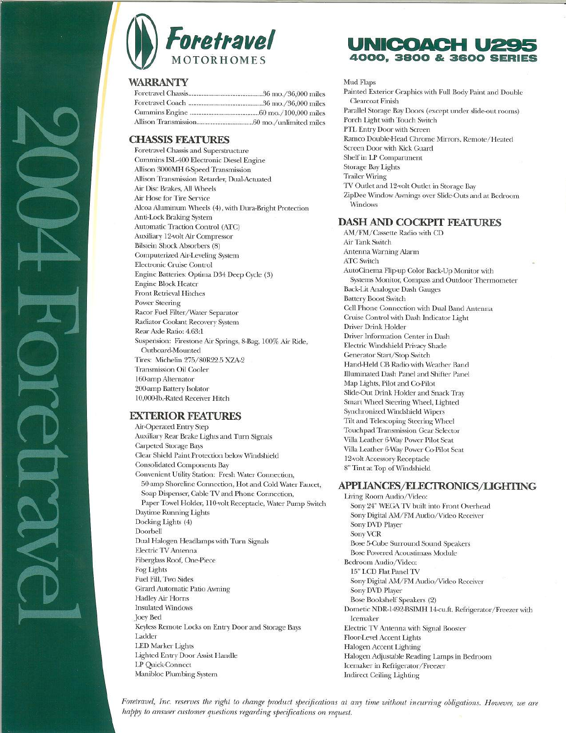# **WARRANTY**

# **CHASSIS FEATURES**

Foretravel Chassis and Superstructure Cummins ISL400 Electronic Diesel Engine Allison 3000MH &-Speed Transmission Allison Transmission Retarder, Dual-Actuated Air Disc Brakes, All Wheels Air Hose for Tire Service Alcoa Aluminum Wheels (4), with Dura-Bright Protection Anti-Lock Braking System Automatic Traction Control (ATC) Auxiliary I2-volt Air Compressor Bilstein Shock Absorbers (8) Computerized Air-Leveling System Electronic Cruise Control Engine Batteries: Optima D34 Deep Cycle (3) Engine Block Heater Front Retrieval Hitches Power Steering Racor Fuel Filter/Water Separator Radiator Coolant Recovery System Rear Axle Ratio: 4.63:1 Suspension: Firestone Air Springs, 8-Bag, 100% Air Ride, Outboard-Mounted Tires: Michelin 275/80R22.5 XZA-2 Transmission Oil Cooler I60-amp Alternator 200-amp Battery Isolator 10,000-lb.-Rated Receiver Hitch

# **EXTERIOR FEATURES**

Air-Operated Entry Step Auxiliary Rear Brake Lights and Turn Signals Carpeted Storage Bays Clear Shield Paint Protection below Windshield Consolidated Components Bay Convenient Utility Station: Fresh Water Connection, 50-amp Shoreline Connection, Hot and Cold Water Faucet, Soap Dispenser, Cable TV and Phone Connection, Paper Towel Holder, IIO-volt Receptacle, Water Pump Switch Daytime Running Lights Docking Lights (4) Doorbell Dual Halogen Headlamps with Turn Signals Electric TV Antenna Fiberglass Roof, One-Piece Fog Lights Fuel Fill, Two Sides Girard Automatic Patio Awning Hadley Air Horns Insulated Windows Joey Bed Keyless Remote Locks on Entry Door and Storage Bays Ladder lED Marker Lights Lighted Entry Door Assist Handle LP Quick-Connect Manibloc Plumbing System

# UNICOACH U2 **4000" 3800 & 3600 SERIES**

Mud Flaps

Painted Exterior Graphics with Full Body Paint and Double Clearcoat Finish Parallel Storage Bay Doors (except under slide-out rooms) Porch Light with Touch Switch PTL Entry Door with Screen Ramco Double-Head Chrome Mirrors, Remote/Heated Screen Door with Kick Guard Shelf in LP Compartment Storage Bay Lights Trailer Wiring TV Outlet and I2-volt Outlet in Storage Bay ZipDee Window Awnings over Slide-Outs and at Bedroom Windows

# **DASH AND COCKPIT FEATURES**

AM/FM/Cassette Radio with CD Air Tank Switch Antenna Warning Alarm ATC Switch AutoCinema Flip-up Color Back-Up Monitor with Systems Monitor, Compass and Outdoor Thermometer Back-Lit Analogue Dash Gauges Battery Boost Switch Cell Phone Connection with Dual Band Antenna Cruise Control with Dash Indicator Light Driver Drink Holder Driver Information Center in Dash Electric Windshield Privacy Shade Generator Start/Stop Switch Hand-Held CB Radio with Weather Band Illuminated Dash Panel and Shifter Panel Map Lights, Pilot and Co-Pilot Slide-Out Drink Holder and Snack Tray Smart Wheel Steering Wheel, Lighted Synchronized Windshield Wipers Tilt and Telescoping Steering Wheel Touchpad Transmission Gear Selector Villa Leather 6-Way Power Pilot Seat Villa Leather 6-Way Power Co-Pilot Seat I2-volt Accessory Receptacle 8" Tint at Top of Windshield

### **APPllANCFS/ELECIRONICS/llGHflNG**

Living Room Audio/Video: Sony 24" WEGA TV built into Front Overhead Sony Digital AM/FM Audio/Video Receiver Sony DVD Player Sony VCR Bose 5-Cube Surround Sound Speakers Bose Powered Acoustimass Module Bedroom Audio/Video: 15" LCD Flat Panel TV Sony Digital AM/FM Audio/Video Receiver Sony DVD Player Bose Bookshelf Speakers (2) Dometic NDR-1492-BSIMH 14-cu.ft. Refrigerator/Freezer with Icemaker Electric TV Antenna with Signal Booster Floor-Level Accent Lights Halogen Accent Lighting Halogen Adjustable Reading Lamps in Bedroom Icemaker in Refrigerator/Freezer Indirect Ceiling Lighting

Foretravel, Inc. reserves the right to change product specifications at any time without incurring obligations. However, we are *happy to answer customer questions regarding specifications* on request.